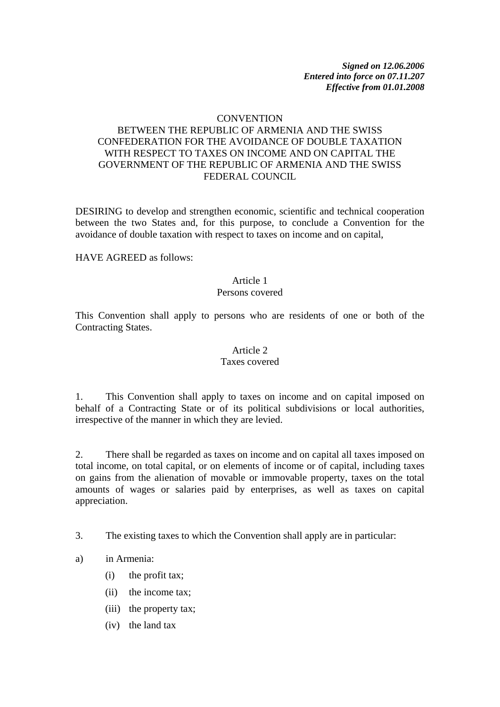*Signed on 12.06.2006 Entered into force on 07.11.207 Effective from 01.01.2008*

#### **CONVENTION**

# BETWEEN THE REPUBLIC OF ARMENIA AND THE SWISS CONFEDERATION FOR THE AVOIDANCE OF DOUBLE TAXATION WITH RESPECT TO TAXES ON INCOME AND ON CAPITAL THE GOVERNMENT OF THE REPUBLIC OF ARMENIA AND THE SWISS FEDERAL COUNCIL

DESIRING to develop and strengthen economic, scientific and technical cooperation between the two States and, for this purpose, to conclude a Convention for the avoidance of double taxation with respect to taxes on income and on capital,

HAVE AGREED as follows:

#### Article 1

#### Persons covered

This Convention shall apply to persons who are residents of one or both of the Contracting States.

#### Article 2

#### Taxes covered

1. This Convention shall apply to taxes on income and on capital imposed on behalf of a Contracting State or of its political subdivisions or local authorities, irrespective of the manner in which they are levied.

2. There shall be regarded as taxes on income and on capital all taxes imposed on total income, on total capital, or on elements of income or of capital, including taxes on gains from the alienation of movable or immovable property, taxes on the total amounts of wages or salaries paid by enterprises, as well as taxes on capital appreciation.

3. The existing taxes to which the Convention shall apply are in particular:

#### a) in Armenia:

- (i) the profit tax;
- (ii) the income tax;
- (iii) the property tax;
- (iv) the land tax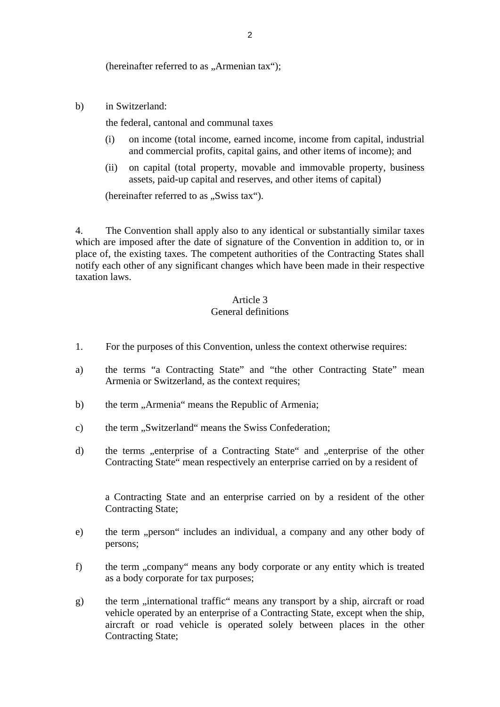(hereinafter referred to as "Armenian tax");

b) in Switzerland:

the federal, cantonal and communal taxes

- (i) on income (total income, earned income, income from capital, industrial and commercial profits, capital gains, and other items of income); and
- (ii) on capital (total property, movable and immovable property, business assets, paid-up capital and reserves, and other items of capital)

(hereinafter referred to as  $\Delta$ Swiss tax").

4. The Convention shall apply also to any identical or substantially similar taxes which are imposed after the date of signature of the Convention in addition to, or in place of, the existing taxes. The competent authorities of the Contracting States shall notify each other of any significant changes which have been made in their respective taxation laws.

# Article 3

# General definitions

- 1. For the purposes of this Convention, unless the context otherwise requires:
- a) the terms "a Contracting State" and "the other Contracting State" mean Armenia or Switzerland, as the context requires;
- b) the term "Armenia" means the Republic of Armenia;
- c) the term ...Switzerland" means the Swiss Confederation:
- d) the terms "enterprise of a Contracting State" and "enterprise of the other Contracting State" mean respectively an enterprise carried on by a resident of

 a Contracting State and an enterprise carried on by a resident of the other Contracting State;

- e) the term "person" includes an individual, a company and any other body of persons;
- f) the term "company" means any body corporate or any entity which is treated as a body corporate for tax purposes;
- g) the term , international traffic " means any transport by a ship, aircraft or road vehicle operated by an enterprise of a Contracting State, except when the ship, aircraft or road vehicle is operated solely between places in the other Contracting State;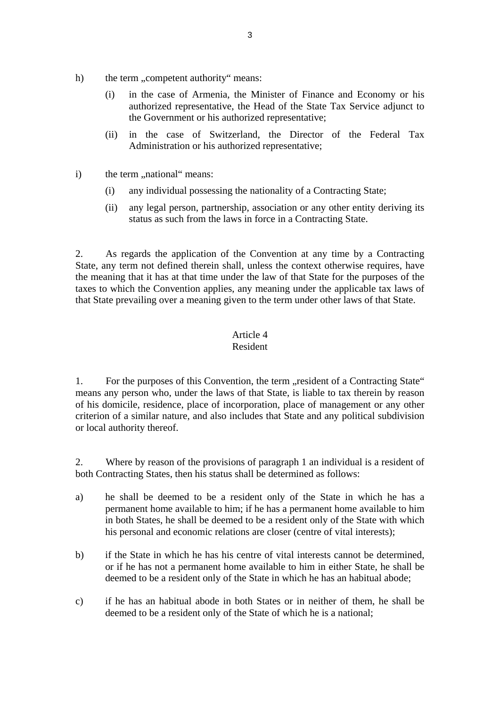- h) the term "competent authority" means:
	- (i) in the case of Armenia, the Minister of Finance and Economy or his authorized representative, the Head of the State Tax Service adjunct to the Government or his authorized representative;
	- (ii) in the case of Switzerland, the Director of the Federal Tax Administration or his authorized representative;

i) the term , national " means:

- (i) any individual possessing the nationality of a Contracting State;
- (ii) any legal person, partnership, association or any other entity deriving its status as such from the laws in force in a Contracting State.

2. As regards the application of the Convention at any time by a Contracting State, any term not defined therein shall, unless the context otherwise requires, have the meaning that it has at that time under the law of that State for the purposes of the taxes to which the Convention applies, any meaning under the applicable tax laws of that State prevailing over a meaning given to the term under other laws of that State.

### Article 4

#### Resident

1. For the purposes of this Convention, the term "resident of a Contracting State" means any person who, under the laws of that State, is liable to tax therein by reason of his domicile, residence, place of incorporation, place of management or any other criterion of a similar nature, and also includes that State and any political subdivision or local authority thereof.

2. Where by reason of the provisions of paragraph 1 an individual is a resident of both Contracting States, then his status shall be determined as follows:

- a) he shall be deemed to be a resident only of the State in which he has a permanent home available to him; if he has a permanent home available to him in both States, he shall be deemed to be a resident only of the State with which his personal and economic relations are closer (centre of vital interests);
- b) if the State in which he has his centre of vital interests cannot be determined, or if he has not a permanent home available to him in either State, he shall be deemed to be a resident only of the State in which he has an habitual abode;
- c) if he has an habitual abode in both States or in neither of them, he shall be deemed to be a resident only of the State of which he is a national;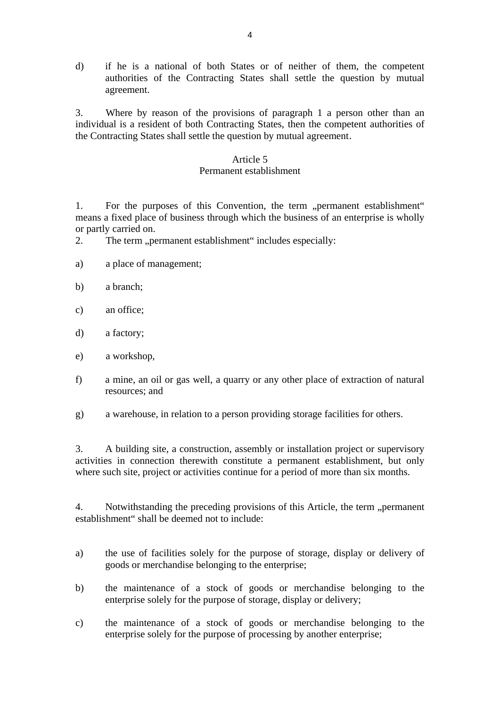d) if he is a national of both States or of neither of them, the competent authorities of the Contracting States shall settle the question by mutual agreement.

3. Where by reason of the provisions of paragraph 1 a person other than an individual is a resident of both Contracting States, then the competent authorities of the Contracting States shall settle the question by mutual agreement.

#### Article 5

#### Permanent establishment

1. For the purposes of this Convention, the term "permanent establishment" means a fixed place of business through which the business of an enterprise is wholly or partly carried on.

2. The term "permanent establishment" includes especially:

- a) a place of management;
- b) a branch;
- c) an office;
- d) a factory;
- e) a workshop,
- f) a mine, an oil or gas well, a quarry or any other place of extraction of natural resources; and

g) a warehouse, in relation to a person providing storage facilities for others.

3. A building site, a construction, assembly or installation project or supervisory activities in connection therewith constitute a permanent establishment, but only where such site, project or activities continue for a period of more than six months.

4. Notwithstanding the preceding provisions of this Article, the term "permanent establishment" shall be deemed not to include:

- a) the use of facilities solely for the purpose of storage, display or delivery of goods or merchandise belonging to the enterprise;
- b) the maintenance of a stock of goods or merchandise belonging to the enterprise solely for the purpose of storage, display or delivery;
- c) the maintenance of a stock of goods or merchandise belonging to the enterprise solely for the purpose of processing by another enterprise;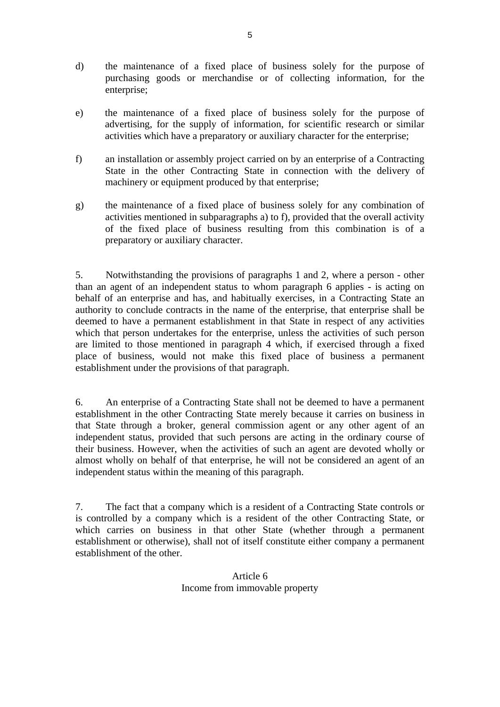- d) the maintenance of a fixed place of business solely for the purpose of purchasing goods or merchandise or of collecting information, for the enterprise;
- e) the maintenance of a fixed place of business solely for the purpose of advertising, for the supply of information, for scientific research or similar activities which have a preparatory or auxiliary character for the enterprise;
- f) an installation or assembly project carried on by an enterprise of a Contracting State in the other Contracting State in connection with the delivery of machinery or equipment produced by that enterprise;
- g) the maintenance of a fixed place of business solely for any combination of activities mentioned in subparagraphs a) to f), provided that the overall activity of the fixed place of business resulting from this combination is of a preparatory or auxiliary character.

5. Notwithstanding the provisions of paragraphs 1 and 2, where a person - other than an agent of an independent status to whom paragraph 6 applies - is acting on behalf of an enterprise and has, and habitually exercises, in a Contracting State an authority to conclude contracts in the name of the enterprise, that enterprise shall be deemed to have a permanent establishment in that State in respect of any activities which that person undertakes for the enterprise, unless the activities of such person are limited to those mentioned in paragraph 4 which, if exercised through a fixed place of business, would not make this fixed place of business a permanent establishment under the provisions of that paragraph.

6. An enterprise of a Contracting State shall not be deemed to have a permanent establishment in the other Contracting State merely because it carries on business in that State through a broker, general commission agent or any other agent of an independent status, provided that such persons are acting in the ordinary course of their business. However, when the activities of such an agent are devoted wholly or almost wholly on behalf of that enterprise, he will not be considered an agent of an independent status within the meaning of this paragraph.

7. The fact that a company which is a resident of a Contracting State controls or is controlled by a company which is a resident of the other Contracting State, or which carries on business in that other State (whether through a permanent establishment or otherwise), shall not of itself constitute either company a permanent establishment of the other.

#### Article 6 Income from immovable property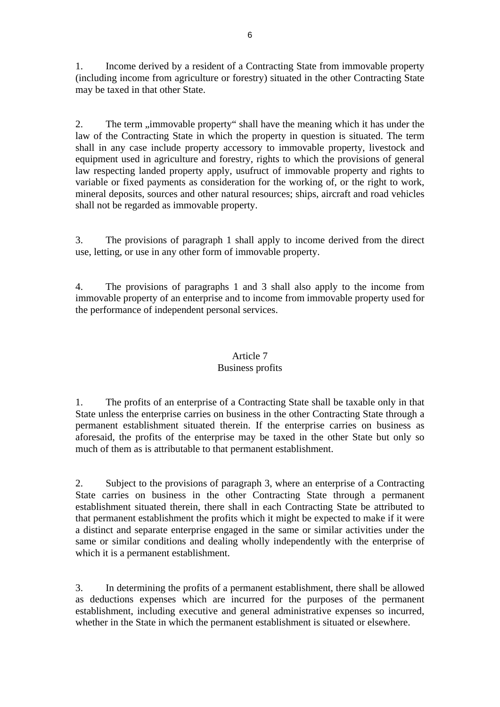1. Income derived by a resident of a Contracting State from immovable property (including income from agriculture or forestry) situated in the other Contracting State may be taxed in that other State.

2. The term , immovable property shall have the meaning which it has under the law of the Contracting State in which the property in question is situated. The term shall in any case include property accessory to immovable property, livestock and equipment used in agriculture and forestry, rights to which the provisions of general law respecting landed property apply, usufruct of immovable property and rights to variable or fixed payments as consideration for the working of, or the right to work, mineral deposits, sources and other natural resources; ships, aircraft and road vehicles shall not be regarded as immovable property.

3. The provisions of paragraph 1 shall apply to income derived from the direct use, letting, or use in any other form of immovable property.

4. The provisions of paragraphs 1 and 3 shall also apply to the income from immovable property of an enterprise and to income from immovable property used for the performance of independent personal services.

# Article 7

# Business profits

1. The profits of an enterprise of a Contracting State shall be taxable only in that State unless the enterprise carries on business in the other Contracting State through a permanent establishment situated therein. If the enterprise carries on business as aforesaid, the profits of the enterprise may be taxed in the other State but only so much of them as is attributable to that permanent establishment.

2. Subject to the provisions of paragraph 3, where an enterprise of a Contracting State carries on business in the other Contracting State through a permanent establishment situated therein, there shall in each Contracting State be attributed to that permanent establishment the profits which it might be expected to make if it were a distinct and separate enterprise engaged in the same or similar activities under the same or similar conditions and dealing wholly independently with the enterprise of which it is a permanent establishment.

3. In determining the profits of a permanent establishment, there shall be allowed as deductions expenses which are incurred for the purposes of the permanent establishment, including executive and general administrative expenses so incurred, whether in the State in which the permanent establishment is situated or elsewhere.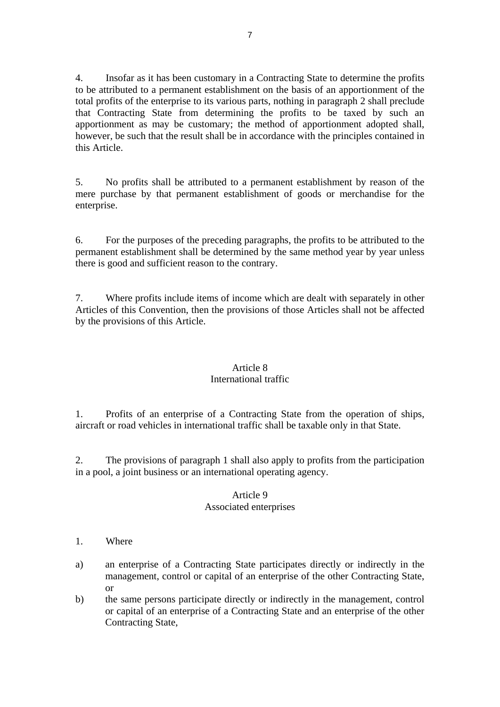4. Insofar as it has been customary in a Contracting State to determine the profits to be attributed to a permanent establishment on the basis of an apportionment of the total profits of the enterprise to its various parts, nothing in paragraph 2 shall preclude that Contracting State from determining the profits to be taxed by such an apportionment as may be customary; the method of apportionment adopted shall, however, be such that the result shall be in accordance with the principles contained in this Article.

5. No profits shall be attributed to a permanent establishment by reason of the mere purchase by that permanent establishment of goods or merchandise for the enterprise.

6. For the purposes of the preceding paragraphs, the profits to be attributed to the permanent establishment shall be determined by the same method year by year unless there is good and sufficient reason to the contrary.

7. Where profits include items of income which are dealt with separately in other Articles of this Convention, then the provisions of those Articles shall not be affected by the provisions of this Article.

#### Article 8 International traffic

1. Profits of an enterprise of a Contracting State from the operation of ships, aircraft or road vehicles in international traffic shall be taxable only in that State.

2. The provisions of paragraph 1 shall also apply to profits from the participation in a pool, a joint business or an international operating agency.

#### Article 9 Associated enterprises

- 1. Where
- a) an enterprise of a Contracting State participates directly or indirectly in the management, control or capital of an enterprise of the other Contracting State, or
- b) the same persons participate directly or indirectly in the management, control or capital of an enterprise of a Contracting State and an enterprise of the other Contracting State,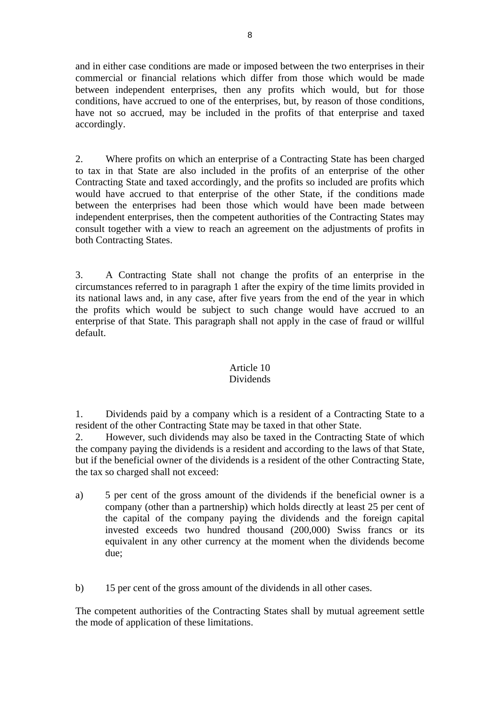and in either case conditions are made or imposed between the two enterprises in their commercial or financial relations which differ from those which would be made between independent enterprises, then any profits which would, but for those conditions, have accrued to one of the enterprises, but, by reason of those conditions, have not so accrued, may be included in the profits of that enterprise and taxed accordingly.

2. Where profits on which an enterprise of a Contracting State has been charged to tax in that State are also included in the profits of an enterprise of the other Contracting State and taxed accordingly, and the profits so included are profits which would have accrued to that enterprise of the other State, if the conditions made between the enterprises had been those which would have been made between independent enterprises, then the competent authorities of the Contracting States may consult together with a view to reach an agreement on the adjustments of profits in both Contracting States.

3. A Contracting State shall not change the profits of an enterprise in the circumstances referred to in paragraph 1 after the expiry of the time limits provided in its national laws and, in any case, after five years from the end of the year in which the profits which would be subject to such change would have accrued to an enterprise of that State. This paragraph shall not apply in the case of fraud or willful default.

#### Article 10 Dividends

1. Dividends paid by a company which is a resident of a Contracting State to a resident of the other Contracting State may be taxed in that other State.

2. However, such dividends may also be taxed in the Contracting State of which the company paying the dividends is a resident and according to the laws of that State, but if the beneficial owner of the dividends is a resident of the other Contracting State, the tax so charged shall not exceed:

- a) 5 per cent of the gross amount of the dividends if the beneficial owner is a company (other than a partnership) which holds directly at least 25 per cent of the capital of the company paying the dividends and the foreign capital invested exceeds two hundred thousand (200,000) Swiss francs or its equivalent in any other currency at the moment when the dividends become due;
- b) 15 per cent of the gross amount of the dividends in all other cases.

The competent authorities of the Contracting States shall by mutual agreement settle the mode of application of these limitations.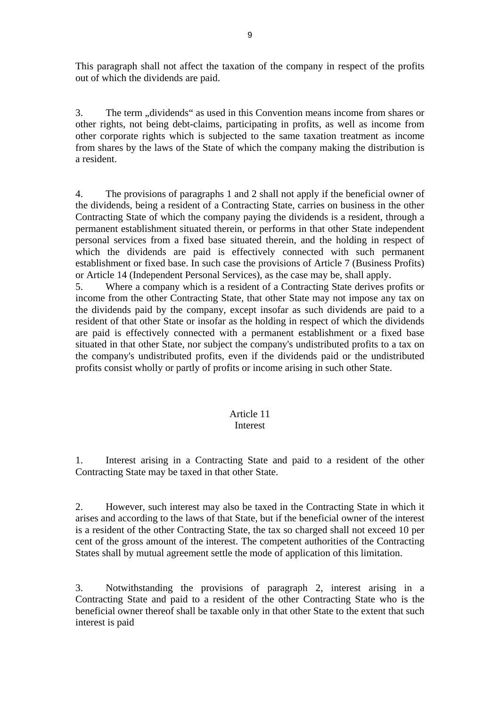This paragraph shall not affect the taxation of the company in respect of the profits out of which the dividends are paid.

3. The term "dividends" as used in this Convention means income from shares or other rights, not being debt-claims, participating in profits, as well as income from other corporate rights which is subjected to the same taxation treatment as income from shares by the laws of the State of which the company making the distribution is a resident.

4. The provisions of paragraphs 1 and 2 shall not apply if the beneficial owner of the dividends, being a resident of a Contracting State, carries on business in the other Contracting State of which the company paying the dividends is a resident, through a permanent establishment situated therein, or performs in that other State independent personal services from a fixed base situated therein, and the holding in respect of which the dividends are paid is effectively connected with such permanent establishment or fixed base. In such case the provisions of Article 7 (Business Profits) or Article 14 (Independent Personal Services), as the case may be, shall apply.

5. Where a company which is a resident of a Contracting State derives profits or income from the other Contracting State, that other State may not impose any tax on the dividends paid by the company, except insofar as such dividends are paid to a resident of that other State or insofar as the holding in respect of which the dividends are paid is effectively connected with a permanent establishment or a fixed base situated in that other State, nor subject the company's undistributed profits to a tax on the company's undistributed profits, even if the dividends paid or the undistributed profits consist wholly or partly of profits or income arising in such other State.

# Article 11

Interest

1. Interest arising in a Contracting State and paid to a resident of the other Contracting State may be taxed in that other State.

2. However, such interest may also be taxed in the Contracting State in which it arises and according to the laws of that State, but if the beneficial owner of the interest is a resident of the other Contracting State, the tax so charged shall not exceed 10 per cent of the gross amount of the interest. The competent authorities of the Contracting States shall by mutual agreement settle the mode of application of this limitation.

3. Notwithstanding the provisions of paragraph 2, interest arising in a Contracting State and paid to a resident of the other Contracting State who is the beneficial owner thereof shall be taxable only in that other State to the extent that such interest is paid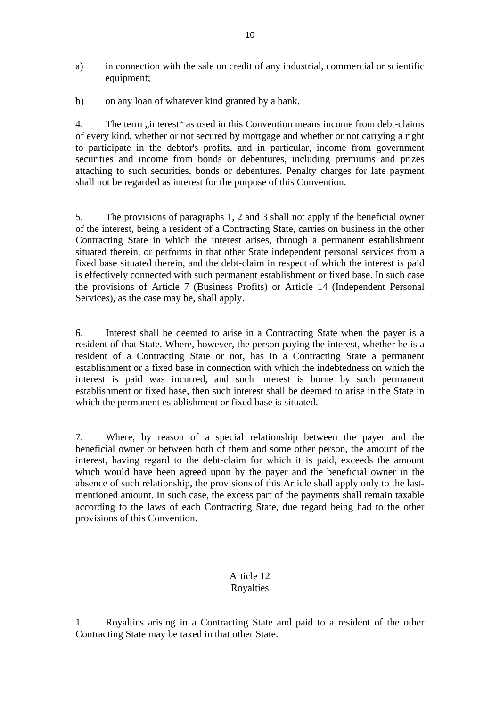- a) in connection with the sale on credit of any industrial, commercial or scientific equipment;
- b) on any loan of whatever kind granted by a bank.

4. The term "interest" as used in this Convention means income from debt-claims of every kind, whether or not secured by mortgage and whether or not carrying a right to participate in the debtor's profits, and in particular, income from government securities and income from bonds or debentures, including premiums and prizes attaching to such securities, bonds or debentures. Penalty charges for late payment shall not be regarded as interest for the purpose of this Convention.

5. The provisions of paragraphs 1, 2 and 3 shall not apply if the beneficial owner of the interest, being a resident of a Contracting State, carries on business in the other Contracting State in which the interest arises, through a permanent establishment situated therein, or performs in that other State independent personal services from a fixed base situated therein, and the debt-claim in respect of which the interest is paid is effectively connected with such permanent establishment or fixed base. In such case the provisions of Article 7 (Business Profits) or Article 14 (Independent Personal Services), as the case may be, shall apply.

6. Interest shall be deemed to arise in a Contracting State when the payer is a resident of that State. Where, however, the person paying the interest, whether he is a resident of a Contracting State or not, has in a Contracting State a permanent establishment or a fixed base in connection with which the indebtedness on which the interest is paid was incurred, and such interest is borne by such permanent establishment or fixed base, then such interest shall be deemed to arise in the State in which the permanent establishment or fixed base is situated.

7. Where, by reason of a special relationship between the payer and the beneficial owner or between both of them and some other person, the amount of the interest, having regard to the debt-claim for which it is paid, exceeds the amount which would have been agreed upon by the payer and the beneficial owner in the absence of such relationship, the provisions of this Article shall apply only to the lastmentioned amount. In such case, the excess part of the payments shall remain taxable according to the laws of each Contracting State, due regard being had to the other provisions of this Convention.

# Article 12 Royalties

1. Royalties arising in a Contracting State and paid to a resident of the other Contracting State may be taxed in that other State.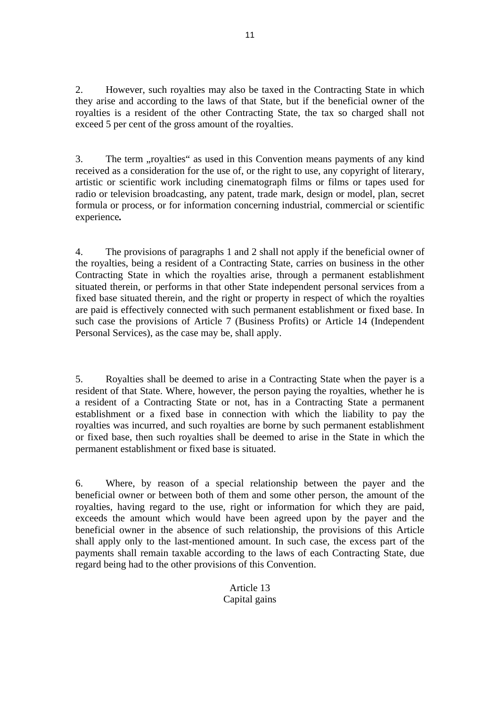2. However, such royalties may also be taxed in the Contracting State in which they arise and according to the laws of that State, but if the beneficial owner of the royalties is a resident of the other Contracting State, the tax so charged shall not exceed 5 per cent of the gross amount of the royalties.

3. The term "royalties" as used in this Convention means payments of any kind received as a consideration for the use of, or the right to use, any copyright of literary, artistic or scientific work including cinematograph films or films or tapes used for radio or television broadcasting, any patent, trade mark, design or model, plan, secret formula or process, or for information concerning industrial, commercial or scientific experience*.* 

4. The provisions of paragraphs 1 and 2 shall not apply if the beneficial owner of the royalties, being a resident of a Contracting State, carries on business in the other Contracting State in which the royalties arise, through a permanent establishment situated therein, or performs in that other State independent personal services from a fixed base situated therein, and the right or property in respect of which the royalties are paid is effectively connected with such permanent establishment or fixed base. In such case the provisions of Article 7 (Business Profits) or Article 14 (Independent Personal Services), as the case may be, shall apply.

5. Royalties shall be deemed to arise in a Contracting State when the payer is a resident of that State. Where, however, the person paying the royalties, whether he is a resident of a Contracting State or not, has in a Contracting State a permanent establishment or a fixed base in connection with which the liability to pay the royalties was incurred, and such royalties are borne by such permanent establishment or fixed base, then such royalties shall be deemed to arise in the State in which the permanent establishment or fixed base is situated.

6. Where, by reason of a special relationship between the payer and the beneficial owner or between both of them and some other person, the amount of the royalties, having regard to the use, right or information for which they are paid, exceeds the amount which would have been agreed upon by the payer and the beneficial owner in the absence of such relationship, the provisions of this Article shall apply only to the last-mentioned amount. In such case, the excess part of the payments shall remain taxable according to the laws of each Contracting State, due regard being had to the other provisions of this Convention.

> Article 13 Capital gains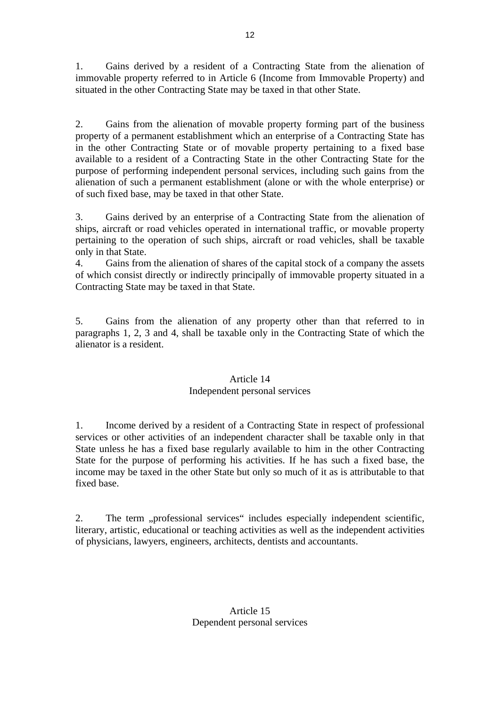1. Gains derived by a resident of a Contracting State from the alienation of immovable property referred to in Article 6 (Income from Immovable Property) and situated in the other Contracting State may be taxed in that other State.

2. Gains from the alienation of movable property forming part of the business property of a permanent establishment which an enterprise of a Contracting State has in the other Contracting State or of movable property pertaining to a fixed base available to a resident of a Contracting State in the other Contracting State for the purpose of performing independent personal services, including such gains from the alienation of such a permanent establishment (alone or with the whole enterprise) or of such fixed base, may be taxed in that other State.

3. Gains derived by an enterprise of a Contracting State from the alienation of ships, aircraft or road vehicles operated in international traffic, or movable property pertaining to the operation of such ships, aircraft or road vehicles, shall be taxable only in that State.

4. Gains from the alienation of shares of the capital stock of a company the assets of which consist directly or indirectly principally of immovable property situated in a Contracting State may be taxed in that State.

5. Gains from the alienation of any property other than that referred to in paragraphs 1, 2, 3 and 4, shall be taxable only in the Contracting State of which the alienator is a resident.

# Article 14

# Independent personal services

1. Income derived by a resident of a Contracting State in respect of professional services or other activities of an independent character shall be taxable only in that State unless he has a fixed base regularly available to him in the other Contracting State for the purpose of performing his activities. If he has such a fixed base, the income may be taxed in the other State but only so much of it as is attributable to that fixed base.

2. The term "professional services" includes especially independent scientific, literary, artistic, educational or teaching activities as well as the independent activities of physicians, lawyers, engineers, architects, dentists and accountants.

Article 15 Dependent personal services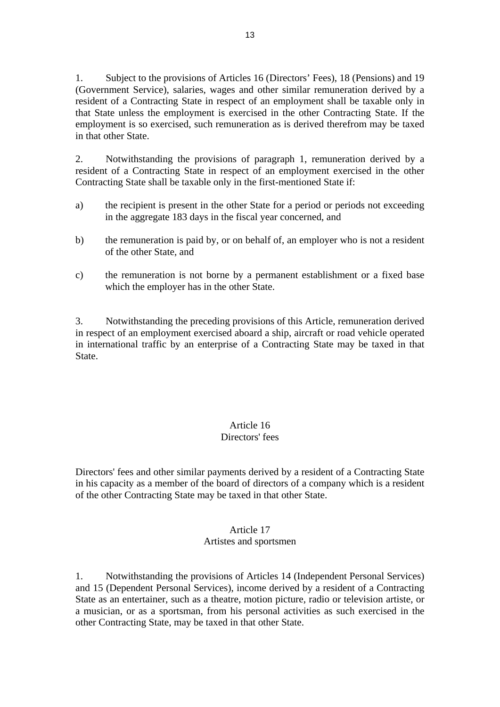1. Subject to the provisions of Articles 16 (Directors' Fees), 18 (Pensions) and 19 (Government Service), salaries, wages and other similar remuneration derived by a resident of a Contracting State in respect of an employment shall be taxable only in that State unless the employment is exercised in the other Contracting State. If the employment is so exercised, such remuneration as is derived therefrom may be taxed in that other State.

2. Notwithstanding the provisions of paragraph 1, remuneration derived by a resident of a Contracting State in respect of an employment exercised in the other Contracting State shall be taxable only in the first-mentioned State if:

- a) the recipient is present in the other State for a period or periods not exceeding in the aggregate 183 days in the fiscal year concerned, and
- b) the remuneration is paid by, or on behalf of, an employer who is not a resident of the other State, and
- c) the remuneration is not borne by a permanent establishment or a fixed base which the employer has in the other State.

3. Notwithstanding the preceding provisions of this Article, remuneration derived in respect of an employment exercised aboard a ship, aircraft or road vehicle operated in international traffic by an enterprise of a Contracting State may be taxed in that State.

#### Article 16 Directors' fees

Directors' fees and other similar payments derived by a resident of a Contracting State in his capacity as a member of the board of directors of a company which is a resident of the other Contracting State may be taxed in that other State.

#### Article 17 Artistes and sportsmen

1. Notwithstanding the provisions of Articles 14 (Independent Personal Services) and 15 (Dependent Personal Services), income derived by a resident of a Contracting State as an entertainer, such as a theatre, motion picture, radio or television artiste, or a musician, or as a sportsman, from his personal activities as such exercised in the other Contracting State, may be taxed in that other State.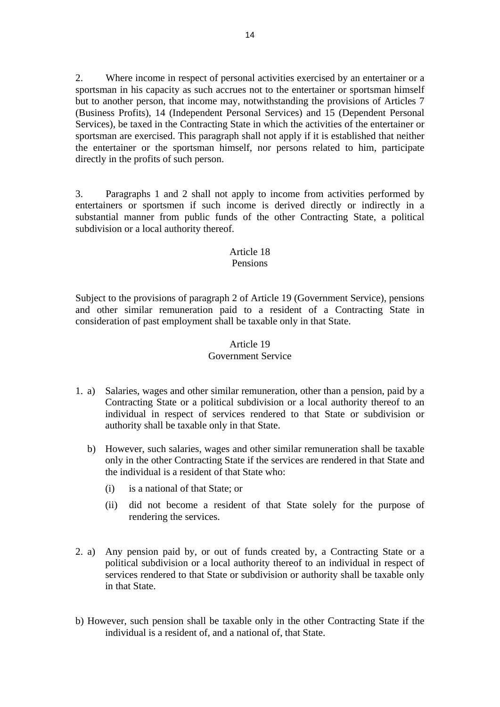2. Where income in respect of personal activities exercised by an entertainer or a sportsman in his capacity as such accrues not to the entertainer or sportsman himself but to another person, that income may, notwithstanding the provisions of Articles 7 (Business Profits), 14 (Independent Personal Services) and 15 (Dependent Personal Services), be taxed in the Contracting State in which the activities of the entertainer or sportsman are exercised. This paragraph shall not apply if it is established that neither the entertainer or the sportsman himself, nor persons related to him, participate directly in the profits of such person.

3. Paragraphs 1 and 2 shall not apply to income from activities performed by entertainers or sportsmen if such income is derived directly or indirectly in a substantial manner from public funds of the other Contracting State, a political subdivision or a local authority thereof.

# Article 18

# Pensions

Subject to the provisions of paragraph 2 of Article 19 (Government Service), pensions and other similar remuneration paid to a resident of a Contracting State in consideration of past employment shall be taxable only in that State.

#### Article 19 Government Service

- 1. a) Salaries, wages and other similar remuneration, other than a pension, paid by a Contracting State or a political subdivision or a local authority thereof to an individual in respect of services rendered to that State or subdivision or authority shall be taxable only in that State.
	- b) However, such salaries, wages and other similar remuneration shall be taxable only in the other Contracting State if the services are rendered in that State and the individual is a resident of that State who:
		- (i) is a national of that State; or
		- (ii) did not become a resident of that State solely for the purpose of rendering the services.
- 2. a) Any pension paid by, or out of funds created by, a Contracting State or a political subdivision or a local authority thereof to an individual in respect of services rendered to that State or subdivision or authority shall be taxable only in that State.
- b) However, such pension shall be taxable only in the other Contracting State if the individual is a resident of, and a national of, that State.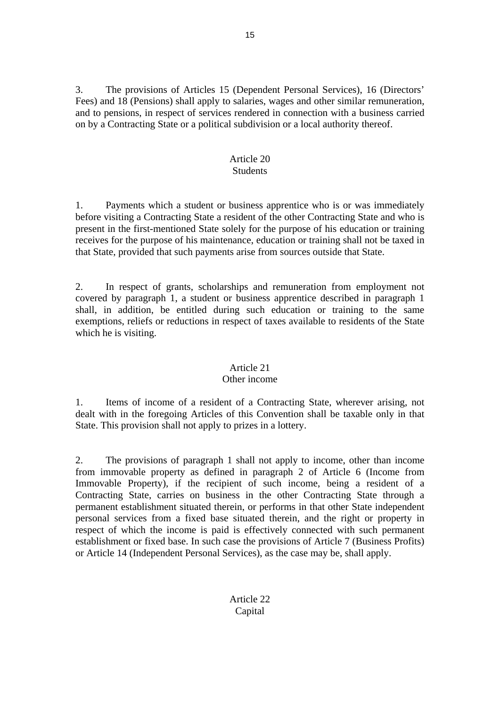3. The provisions of Articles 15 (Dependent Personal Services), 16 (Directors' Fees) and 18 (Pensions) shall apply to salaries, wages and other similar remuneration, and to pensions, in respect of services rendered in connection with a business carried on by a Contracting State or a political subdivision or a local authority thereof.

#### Article 20 **Students**

1. Payments which a student or business apprentice who is or was immediately before visiting a Contracting State a resident of the other Contracting State and who is present in the first-mentioned State solely for the purpose of his education or training receives for the purpose of his maintenance, education or training shall not be taxed in that State, provided that such payments arise from sources outside that State.

2. In respect of grants, scholarships and remuneration from employment not covered by paragraph 1, a student or business apprentice described in paragraph 1 shall, in addition, be entitled during such education or training to the same exemptions, reliefs or reductions in respect of taxes available to residents of the State which he is visiting.

# Article 21

# Other income

1. Items of income of a resident of a Contracting State, wherever arising, not dealt with in the foregoing Articles of this Convention shall be taxable only in that State. This provision shall not apply to prizes in a lottery.

2. The provisions of paragraph 1 shall not apply to income, other than income from immovable property as defined in paragraph 2 of Article 6 (Income from Immovable Property), if the recipient of such income, being a resident of a Contracting State, carries on business in the other Contracting State through a permanent establishment situated therein, or performs in that other State independent personal services from a fixed base situated therein, and the right or property in respect of which the income is paid is effectively connected with such permanent establishment or fixed base. In such case the provisions of Article 7 (Business Profits) or Article 14 (Independent Personal Services), as the case may be, shall apply.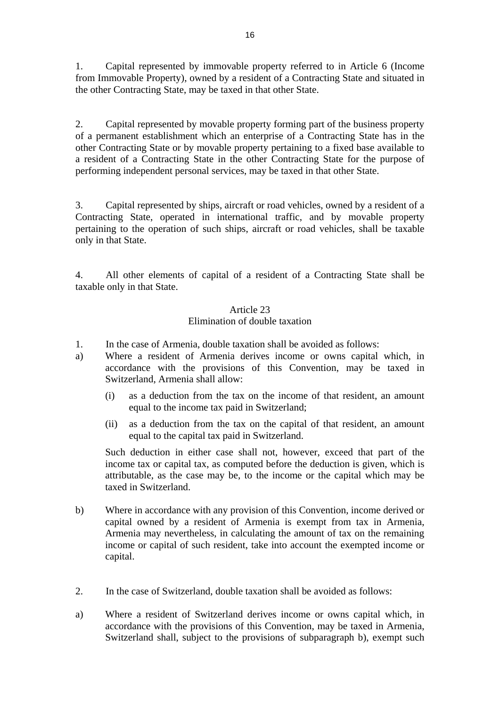1. Capital represented by immovable property referred to in Article 6 (Income from Immovable Property), owned by a resident of a Contracting State and situated in the other Contracting State, may be taxed in that other State.

2. Capital represented by movable property forming part of the business property of a permanent establishment which an enterprise of a Contracting State has in the other Contracting State or by movable property pertaining to a fixed base available to a resident of a Contracting State in the other Contracting State for the purpose of performing independent personal services, may be taxed in that other State.

3. Capital represented by ships, aircraft or road vehicles, owned by a resident of a Contracting State, operated in international traffic, and by movable property pertaining to the operation of such ships, aircraft or road vehicles, shall be taxable only in that State.

4. All other elements of capital of a resident of a Contracting State shall be taxable only in that State.

## Article 23 Elimination of double taxation

- 1. In the case of Armenia, double taxation shall be avoided as follows:
- a) Where a resident of Armenia derives income or owns capital which, in accordance with the provisions of this Convention, may be taxed in Switzerland, Armenia shall allow:
	- (i) as a deduction from the tax on the income of that resident, an amount equal to the income tax paid in Switzerland;
	- (ii) as a deduction from the tax on the capital of that resident, an amount equal to the capital tax paid in Switzerland.

 Such deduction in either case shall not, however, exceed that part of the income tax or capital tax, as computed before the deduction is given, which is attributable, as the case may be, to the income or the capital which may be taxed in Switzerland.

- b) Where in accordance with any provision of this Convention, income derived or capital owned by a resident of Armenia is exempt from tax in Armenia, Armenia may nevertheless, in calculating the amount of tax on the remaining income or capital of such resident, take into account the exempted income or capital.
- 2. In the case of Switzerland, double taxation shall be avoided as follows:
- a) Where a resident of Switzerland derives income or owns capital which, in accordance with the provisions of this Convention, may be taxed in Armenia, Switzerland shall, subject to the provisions of subparagraph b), exempt such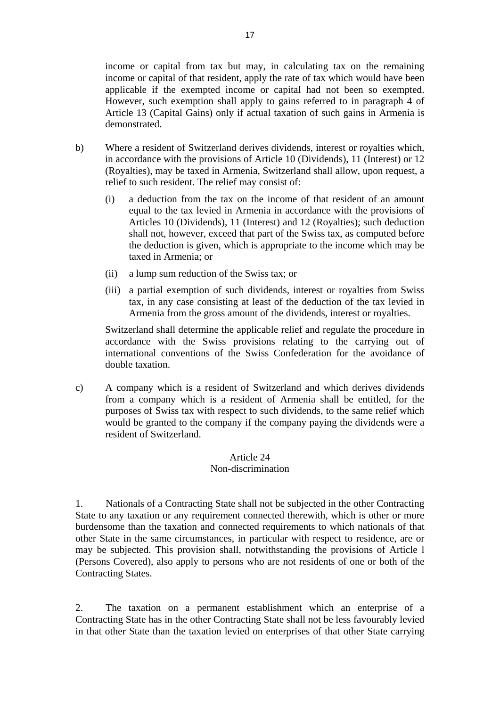income or capital from tax but may, in calculating tax on the remaining income or capital of that resident, apply the rate of tax which would have been applicable if the exempted income or capital had not been so exempted. However, such exemption shall apply to gains referred to in paragraph 4 of Article 13 (Capital Gains) only if actual taxation of such gains in Armenia is demonstrated.

- b) Where a resident of Switzerland derives dividends, interest or royalties which, in accordance with the provisions of Article 10 (Dividends), 11 (Interest) or 12 (Royalties), may be taxed in Armenia, Switzerland shall allow, upon request, a relief to such resident. The relief may consist of:
	- (i) a deduction from the tax on the income of that resident of an amount equal to the tax levied in Armenia in accordance with the provisions of Articles 10 (Dividends), 11 (Interest) and 12 (Royalties); such deduction shall not, however, exceed that part of the Swiss tax, as computed before the deduction is given, which is appropriate to the income which may be taxed in Armenia; or
	- (ii) a lump sum reduction of the Swiss tax; or
	- (iii) a partial exemption of such dividends, interest or royalties from Swiss tax, in any case consisting at least of the deduction of the tax levied in Armenia from the gross amount of the dividends, interest or royalties.

 Switzerland shall determine the applicable relief and regulate the procedure in accordance with the Swiss provisions relating to the carrying out of international conventions of the Swiss Confederation for the avoidance of double taxation.

c) A company which is a resident of Switzerland and which derives dividends from a company which is a resident of Armenia shall be entitled, for the purposes of Swiss tax with respect to such dividends, to the same relief which would be granted to the company if the company paying the dividends were a resident of Switzerland.

#### Article 24 Non-discrimination

1. Nationals of a Contracting State shall not be subjected in the other Contracting State to any taxation or any requirement connected therewith, which is other or more burdensome than the taxation and connected requirements to which nationals of that other State in the same circumstances, in particular with respect to residence, are or may be subjected. This provision shall, notwithstanding the provisions of Article l (Persons Covered), also apply to persons who are not residents of one or both of the Contracting States.

2. The taxation on a permanent establishment which an enterprise of a Contracting State has in the other Contracting State shall not be less favourably levied in that other State than the taxation levied on enterprises of that other State carrying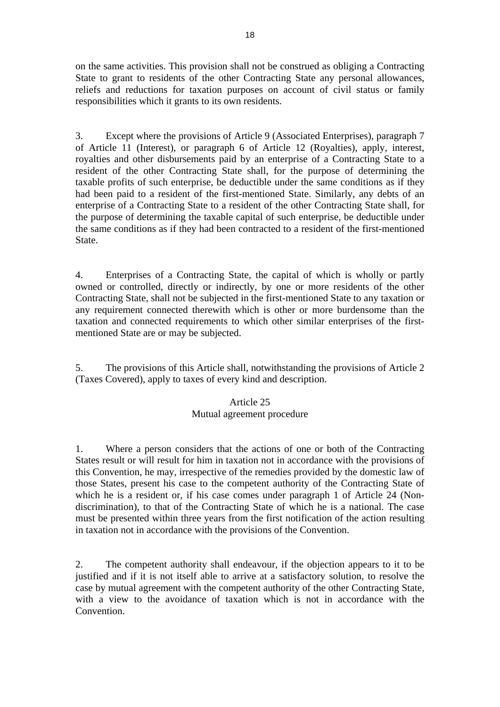on the same activities. This provision shall not be construed as obliging a Contracting State to grant to residents of the other Contracting State any personal allowances, reliefs and reductions for taxation purposes on account of civil status or family responsibilities which it grants to its own residents.

3. Except where the provisions of Article 9 (Associated Enterprises), paragraph 7 of Article 11 (Interest), or paragraph 6 of Article 12 (Royalties), apply, interest, royalties and other disbursements paid by an enterprise of a Contracting State to a resident of the other Contracting State shall, for the purpose of determining the taxable profits of such enterprise, be deductible under the same conditions as if they had been paid to a resident of the first-mentioned State. Similarly, any debts of an enterprise of a Contracting State to a resident of the other Contracting State shall, for the purpose of determining the taxable capital of such enterprise, be deductible under the same conditions as if they had been contracted to a resident of the first-mentioned State.

4. Enterprises of a Contracting State, the capital of which is wholly or partly owned or controlled, directly or indirectly, by one or more residents of the other Contracting State, shall not be subjected in the first-mentioned State to any taxation or any requirement connected therewith which is other or more burdensome than the taxation and connected requirements to which other similar enterprises of the firstmentioned State are or may be subjected.

5. The provisions of this Article shall, notwithstanding the provisions of Article 2 (Taxes Covered), apply to taxes of every kind and description.

#### Article 25

#### Mutual agreement procedure

1. Where a person considers that the actions of one or both of the Contracting States result or will result for him in taxation not in accordance with the provisions of this Convention, he may, irrespective of the remedies provided by the domestic law of those States, present his case to the competent authority of the Contracting State of which he is a resident or, if his case comes under paragraph 1 of Article 24 (Nondiscrimination), to that of the Contracting State of which he is a national. The case must be presented within three years from the first notification of the action resulting in taxation not in accordance with the provisions of the Convention.

2. The competent authority shall endeavour, if the objection appears to it to be justified and if it is not itself able to arrive at a satisfactory solution, to resolve the case by mutual agreement with the competent authority of the other Contracting State, with a view to the avoidance of taxation which is not in accordance with the Convention.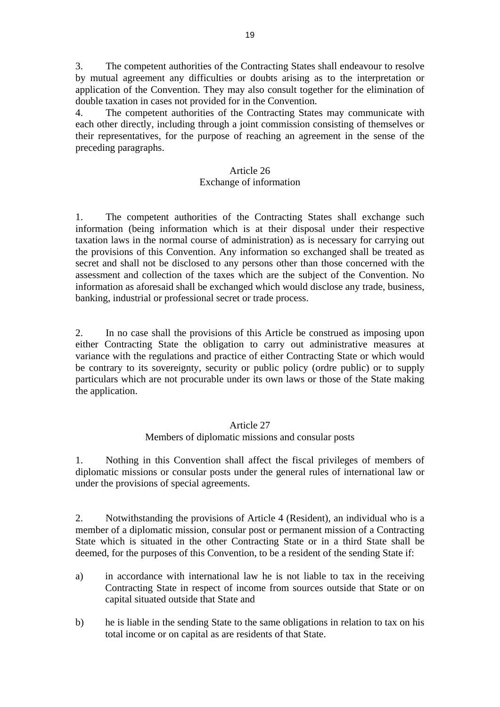3. The competent authorities of the Contracting States shall endeavour to resolve by mutual agreement any difficulties or doubts arising as to the interpretation or application of the Convention. They may also consult together for the elimination of double taxation in cases not provided for in the Convention.

4. The competent authorities of the Contracting States may communicate with each other directly, including through a joint commission consisting of themselves or their representatives, for the purpose of reaching an agreement in the sense of the preceding paragraphs.

#### Article 26

#### Exchange of information

1. The competent authorities of the Contracting States shall exchange such information (being information which is at their disposal under their respective taxation laws in the normal course of administration) as is necessary for carrying out the provisions of this Convention. Any information so exchanged shall be treated as secret and shall not be disclosed to any persons other than those concerned with the assessment and collection of the taxes which are the subject of the Convention. No information as aforesaid shall be exchanged which would disclose any trade, business, banking, industrial or professional secret or trade process.

2. In no case shall the provisions of this Article be construed as imposing upon either Contracting State the obligation to carry out administrative measures at variance with the regulations and practice of either Contracting State or which would be contrary to its sovereignty, security or public policy (ordre public) or to supply particulars which are not procurable under its own laws or those of the State making the application.

#### Article 27

### Members of diplomatic missions and consular posts

1. Nothing in this Convention shall affect the fiscal privileges of members of diplomatic missions or consular posts under the general rules of international law or under the provisions of special agreements.

2. Notwithstanding the provisions of Article 4 (Resident), an individual who is a member of a diplomatic mission, consular post or permanent mission of a Contracting State which is situated in the other Contracting State or in a third State shall be deemed, for the purposes of this Convention, to be a resident of the sending State if:

- a) in accordance with international law he is not liable to tax in the receiving Contracting State in respect of income from sources outside that State or on capital situated outside that State and
- b) he is liable in the sending State to the same obligations in relation to tax on his total income or on capital as are residents of that State.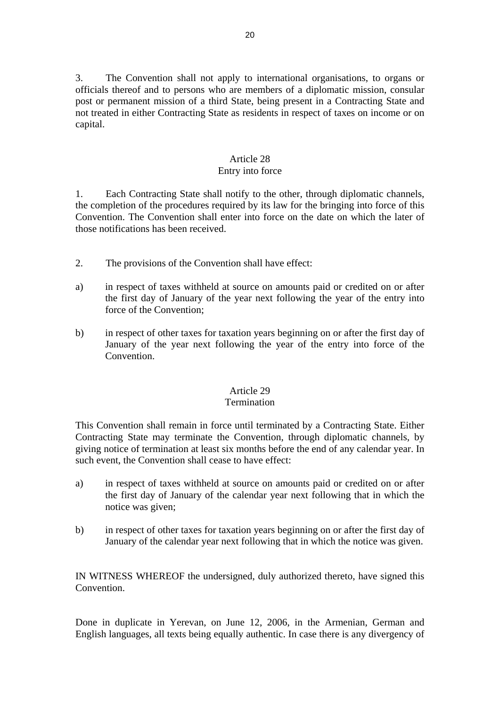3. The Convention shall not apply to international organisations, to organs or officials thereof and to persons who are members of a diplomatic mission, consular post or permanent mission of a third State, being present in a Contracting State and not treated in either Contracting State as residents in respect of taxes on income or on capital.

# Article 28

# Entry into force

1. Each Contracting State shall notify to the other, through diplomatic channels, the completion of the procedures required by its law for the bringing into force of this Convention. The Convention shall enter into force on the date on which the later of those notifications has been received.

- 2. The provisions of the Convention shall have effect:
- a) in respect of taxes withheld at source on amounts paid or credited on or after the first day of January of the year next following the year of the entry into force of the Convention;
- b) in respect of other taxes for taxation years beginning on or after the first day of January of the year next following the year of the entry into force of the Convention.

# Article 29

# **Termination**

This Convention shall remain in force until terminated by a Contracting State. Either Contracting State may terminate the Convention, through diplomatic channels, by giving notice of termination at least six months before the end of any calendar year. In such event, the Convention shall cease to have effect:

- a) in respect of taxes withheld at source on amounts paid or credited on or after the first day of January of the calendar year next following that in which the notice was given;
- b) in respect of other taxes for taxation years beginning on or after the first day of January of the calendar year next following that in which the notice was given.

IN WITNESS WHEREOF the undersigned, duly authorized thereto, have signed this Convention.

Done in duplicate in Yerevan, on June 12, 2006, in the Armenian, German and English languages, all texts being equally authentic. In case there is any divergency of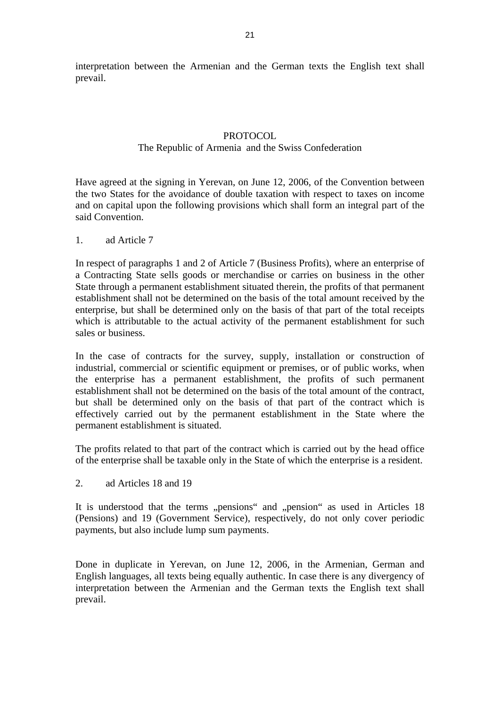interpretation between the Armenian and the German texts the English text shall prevail.

### PROTOCOL. The Republic of Armenia and the Swiss Confederation

Have agreed at the signing in Yerevan, on June 12, 2006, of the Convention between the two States for the avoidance of double taxation with respect to taxes on income and on capital upon the following provisions which shall form an integral part of the said Convention.

1. ad Article 7

In respect of paragraphs 1 and 2 of Article 7 (Business Profits), where an enterprise of a Contracting State sells goods or merchandise or carries on business in the other State through a permanent establishment situated therein, the profits of that permanent establishment shall not be determined on the basis of the total amount received by the enterprise, but shall be determined only on the basis of that part of the total receipts which is attributable to the actual activity of the permanent establishment for such sales or business.

In the case of contracts for the survey, supply, installation or construction of industrial, commercial or scientific equipment or premises, or of public works, when the enterprise has a permanent establishment, the profits of such permanent establishment shall not be determined on the basis of the total amount of the contract, but shall be determined only on the basis of that part of the contract which is effectively carried out by the permanent establishment in the State where the permanent establishment is situated.

The profits related to that part of the contract which is carried out by the head office of the enterprise shall be taxable only in the State of which the enterprise is a resident.

2. ad Articles 18 and 19

It is understood that the terms "pensions" and "pension" as used in Articles 18 (Pensions) and 19 (Government Service), respectively, do not only cover periodic payments, but also include lump sum payments.

Done in duplicate in Yerevan, on June 12, 2006, in the Armenian, German and English languages, all texts being equally authentic. In case there is any divergency of interpretation between the Armenian and the German texts the English text shall prevail.